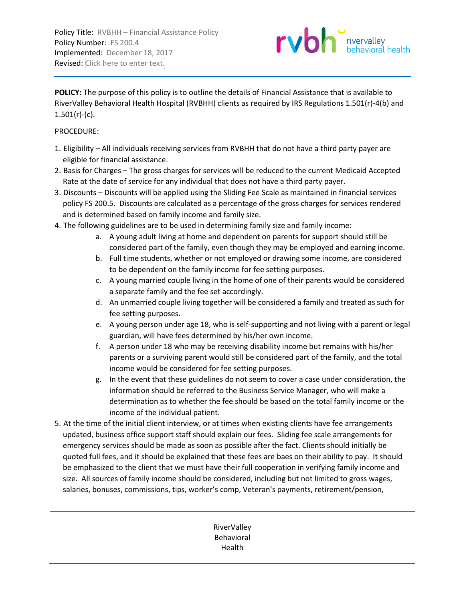Policy Title: RVBHH - Financial Assistance Policy Policy Number: FS 200.4 Implemented: December 18, 2017 Revised: Click here to enter text.



**POLICY:** The purpose of this policy is to outline the details of Financial Assistance that is available to RiverValley Behavioral Health Hospital (RVBHH) clients as required by IRS Regulations 1.501(r)-4(b) and  $1.501(r)-(c)$ .

## PROCEDURE:

- 1. Eligibility All individuals receiving services from RVBHH that do not have a third party payer are eligible for financial assistance.
- 2. Basis for Charges The gross charges for services will be reduced to the current Medicaid Accepted Rate at the date of service for any individual that does not have a third party payer.
- 3. Discounts Discounts will be applied using the Sliding Fee Scale as maintained in financial services policy FS 200.5. Discounts are calculated as a percentage of the gross charges for services rendered and is determined based on family income and family size.
- 4. The following guidelines are to be used in determining family size and family income:
	- a. A young adult living at home and dependent on parents for support should still be considered part of the family, even though they may be employed and earning income.
	- b. Full time students, whether or not employed or drawing some income, are considered to be dependent on the family income for fee setting purposes.
	- c. A young married couple living in the home of one of their parents would be considered a separate family and the fee set accordingly.
	- d. An unmarried couple living together will be considered a family and treated as such for fee setting purposes.
	- e. A young person under age 18, who is self-supporting and not living with a parent or legal guardian, will have fees determined by his/her own income.
	- f. A person under 18 who may be receiving disability income but remains with his/her parents or a surviving parent would still be considered part of the family, and the total income would be considered for fee setting purposes.
	- g. In the event that these guidelines do not seem to cover a case under consideration, the information should be referred to the Business Service Manager, who will make a determination as to whether the fee should be based on the total family income or the income of the individual patient.
- 5. At the time of the initial client interview, or at times when existing clients have fee arrangements updated, business office support staff should explain our fees. Sliding fee scale arrangements for emergency services should be made as soon as possible after the fact. Clients should initially be quoted full fees, and it should be explained that these fees are baes on their ability to pay. It should be emphasized to the client that we must have their full cooperation in verifying family income and size. All sources of family income should be considered, including but not limited to gross wages, salaries, bonuses, commissions, tips, worker's comp, Veteran's payments, retirement/pension,

RiverValley Behavioral Health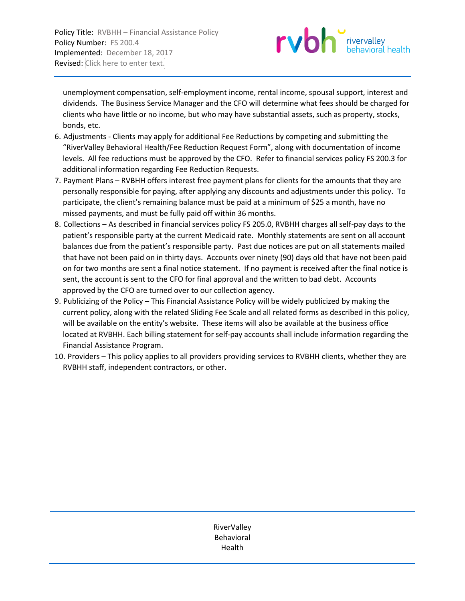

unemployment compensation, self-employment income, rental income, spousal support, interest and dividends. The Business Service Manager and the CFO will determine what fees should be charged for clients who have little or no income, but who may have substantial assets, such as property, stocks, bonds, etc.

- 6. Adjustments Clients may apply for additional Fee Reductions by competing and submitting the "RiverValley Behavioral Health/Fee Reduction Request Form", along with documentation of income levels. All fee reductions must be approved by the CFO. Refer to financial services policy FS 200.3 for additional information regarding Fee Reduction Requests.
- 7. Payment Plans RVBHH offers interest free payment plans for clients for the amounts that they are personally responsible for paying, after applying any discounts and adjustments under this policy. To participate, the client's remaining balance must be paid at a minimum of \$25 a month, have no missed payments, and must be fully paid off within 36 months.
- 8. Collections As described in financial services policy FS 205.0, RVBHH charges all self-pay days to the patient's responsible party at the current Medicaid rate. Monthly statements are sent on all account balances due from the patient's responsible party. Past due notices are put on all statements mailed that have not been paid on in thirty days. Accounts over ninety (90) days old that have not been paid on for two months are sent a final notice statement. If no payment is received after the final notice is sent, the account is sent to the CFO for final approval and the written to bad debt. Accounts approved by the CFO are turned over to our collection agency.
- 9. Publicizing of the Policy This Financial Assistance Policy will be widely publicized by making the current policy, along with the related Sliding Fee Scale and all related forms as described in this policy, will be available on the entity's website. These items will also be available at the business office located at RVBHH. Each billing statement for self-pay accounts shall include information regarding the Financial Assistance Program.
- 10. Providers This policy applies to all providers providing services to RVBHH clients, whether they are RVBHH staff, independent contractors, or other.

RiverValley Behavioral Health